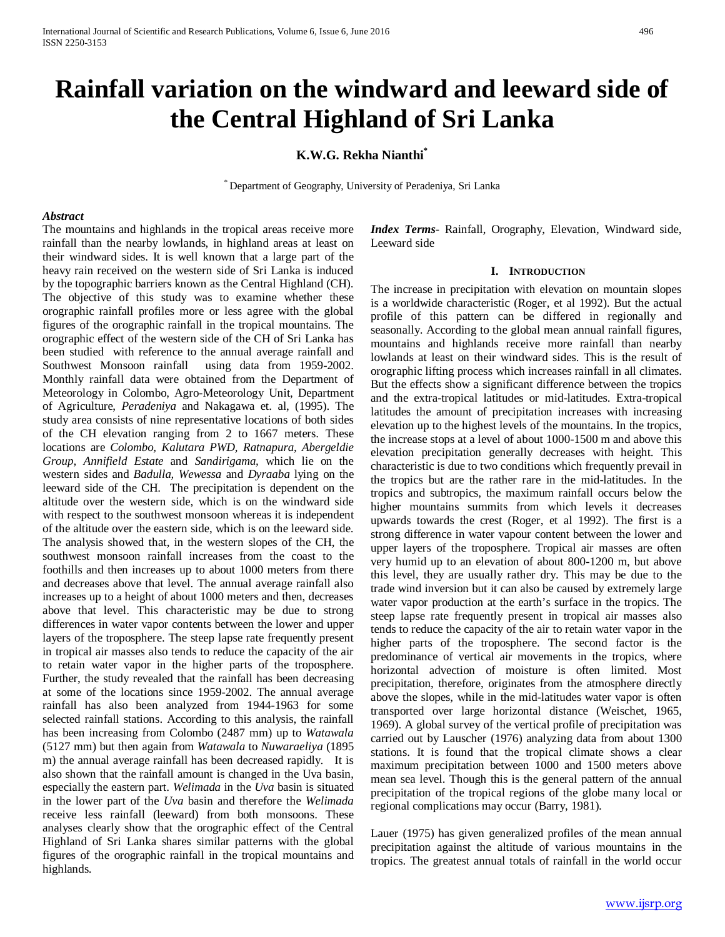# **Rainfall variation on the windward and leeward side of the Central Highland of Sri Lanka**

# **K.W.G. Rekha Nianthi\***

\* Department of Geography, University of Peradeniya, Sri Lanka

#### *Abstract*

The mountains and highlands in the tropical areas receive more rainfall than the nearby lowlands, in highland areas at least on their windward sides. It is well known that a large part of the heavy rain received on the western side of Sri Lanka is induced by the topographic barriers known as the Central Highland (CH). The objective of this study was to examine whether these orographic rainfall profiles more or less agree with the global figures of the orographic rainfall in the tropical mountains. The orographic effect of the western side of the CH of Sri Lanka has been studied with reference to the annual average rainfall and Southwest Monsoon rainfall using data from 1959-2002. Monthly rainfall data were obtained from the Department of Meteorology in Colombo, Agro-Meteorology Unit, Department of Agriculture, *Peradeniya* and Nakagawa et. al, (1995). The study area consists of nine representative locations of both sides of the CH elevation ranging from 2 to 1667 meters. These locations are *Colombo, Kalutara PWD, Ratnapura, Abergeldie Group, Annifield Estate* and *Sandirigama,* which lie on the western sides and *Badulla, Wewessa* and *Dyraaba* lying on the leeward side of the CH. The precipitation is dependent on the altitude over the western side, which is on the windward side with respect to the southwest monsoon whereas it is independent of the altitude over the eastern side, which is on the leeward side. The analysis showed that, in the western slopes of the CH, the southwest monsoon rainfall increases from the coast to the foothills and then increases up to about 1000 meters from there and decreases above that level. The annual average rainfall also increases up to a height of about 1000 meters and then, decreases above that level. This characteristic may be due to strong differences in water vapor contents between the lower and upper layers of the troposphere. The steep lapse rate frequently present in tropical air masses also tends to reduce the capacity of the air to retain water vapor in the higher parts of the troposphere. Further, the study revealed that the rainfall has been decreasing at some of the locations since 1959-2002. The annual average rainfall has also been analyzed from 1944-1963 for some selected rainfall stations. According to this analysis, the rainfall has been increasing from Colombo (2487 mm) up to *Watawala*  (5127 mm) but then again from *Watawala* to *Nuwaraeliya* (1895 m) the annual average rainfall has been decreased rapidly. It is also shown that the rainfall amount is changed in the Uva basin, especially the eastern part. *Welimada* in the *Uva* basin is situated in the lower part of the *Uva* basin and therefore the *Welimada* receive less rainfall (leeward) from both monsoons. These analyses clearly show that the orographic effect of the Central Highland of Sri Lanka shares similar patterns with the global figures of the orographic rainfall in the tropical mountains and highlands.

*Index Terms*- Rainfall, Orography, Elevation, Windward side, Leeward side

#### **I. INTRODUCTION**

The increase in precipitation with elevation on mountain slopes is a worldwide characteristic (Roger, et al 1992). But the actual profile of this pattern can be differed in regionally and seasonally. According to the global mean annual rainfall figures, mountains and highlands receive more rainfall than nearby lowlands at least on their windward sides. This is the result of orographic lifting process which increases rainfall in all climates. But the effects show a significant difference between the tropics and the extra-tropical latitudes or mid-latitudes. Extra-tropical latitudes the amount of precipitation increases with increasing elevation up to the highest levels of the mountains. In the tropics, the increase stops at a level of about 1000-1500 m and above this elevation precipitation generally decreases with height. This characteristic is due to two conditions which frequently prevail in the tropics but are the rather rare in the mid-latitudes. In the tropics and subtropics, the maximum rainfall occurs below the higher mountains summits from which levels it decreases upwards towards the crest (Roger, et al 1992). The first is a strong difference in water vapour content between the lower and upper layers of the troposphere. Tropical air masses are often very humid up to an elevation of about 800-1200 m, but above this level, they are usually rather dry. This may be due to the trade wind inversion but it can also be caused by extremely large water vapor production at the earth's surface in the tropics. The steep lapse rate frequently present in tropical air masses also tends to reduce the capacity of the air to retain water vapor in the higher parts of the troposphere. The second factor is the predominance of vertical air movements in the tropics, where horizontal advection of moisture is often limited. Most precipitation, therefore, originates from the atmosphere directly above the slopes, while in the mid-latitudes water vapor is often transported over large horizontal distance (Weischet, 1965, 1969). A global survey of the vertical profile of precipitation was carried out by Lauscher (1976) analyzing data from about 1300 stations. It is found that the tropical climate shows a clear maximum precipitation between 1000 and 1500 meters above mean sea level. Though this is the general pattern of the annual precipitation of the tropical regions of the globe many local or regional complications may occur (Barry, 1981).

Lauer (1975) has given generalized profiles of the mean annual precipitation against the altitude of various mountains in the tropics. The greatest annual totals of rainfall in the world occur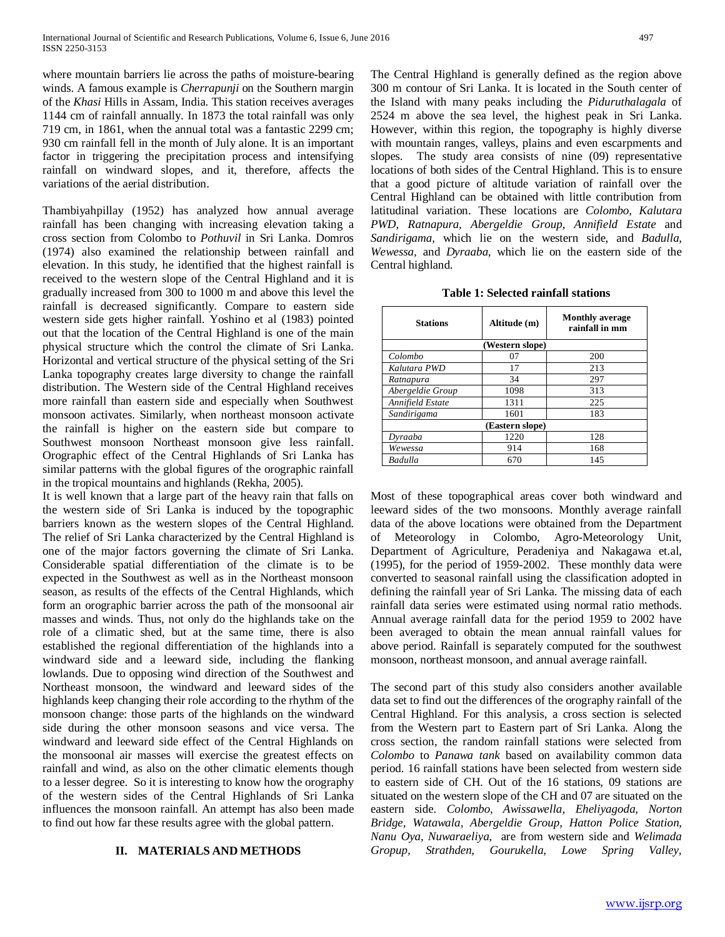where mountain barriers lie across the paths of moisture-bearing winds. A famous example is *Cherrapunji* on the Southern margin of the *Khasi* Hills in Assam, India. This station receives averages 1144 cm of rainfall annually. In 1873 the total rainfall was only 719 cm, in 1861, when the annual total was a fantastic 2299 cm; 930 cm rainfall fell in the month of July alone. It is an important factor in triggering the precipitation process and intensifying rainfall on windward slopes, and it, therefore, affects the variations of the aerial distribution.

Thambiyahpillay (1952) has analyzed how annual average rainfall has been changing with increasing elevation taking a cross section from Colombo to *Pothuvil* in Sri Lanka. Domros (1974) also examined the relationship between rainfall and elevation. In this study, he identified that the highest rainfall is received to the western slope of the Central Highland and it is gradually increased from 300 to 1000 m and above this level the rainfall is decreased significantly. Compare to eastern side western side gets higher rainfall. Yoshino et al (1983) pointed out that the location of the Central Highland is one of the main physical structure which the control the climate of Sri Lanka. Horizontal and vertical structure of the physical setting of the Sri Lanka topography creates large diversity to change the rainfall distribution. The Western side of the Central Highland receives more rainfall than eastern side and especially when Southwest monsoon activates. Similarly, when northeast monsoon activate the rainfall is higher on the eastern side but compare to Southwest monsoon Northeast monsoon give less rainfall. Orographic effect of the Central Highlands of Sri Lanka has similar patterns with the global figures of the orographic rainfall in the tropical mountains and highlands (Rekha, 2005).

It is well known that a large part of the heavy rain that falls on the western side of Sri Lanka is induced by the topographic barriers known as the western slopes of the Central Highland. The relief of Sri Lanka characterized by the Central Highland is one of the major factors governing the climate of Sri Lanka. Considerable spatial differentiation of the climate is to be expected in the Southwest as well as in the Northeast monsoon season, as results of the effects of the Central Highlands, which form an orographic barrier across the path of the monsoonal air masses and winds. Thus, not only do the highlands take on the role of a climatic shed, but at the same time, there is also established the regional differentiation of the highlands into a windward side and a leeward side, including the flanking lowlands. Due to opposing wind direction of the Southwest and Northeast monsoon, the windward and leeward sides of the highlands keep changing their role according to the rhythm of the monsoon change: those parts of the highlands on the windward side during the other monsoon seasons and vice versa. The windward and leeward side effect of the Central Highlands on the monsoonal air masses will exercise the greatest effects on rainfall and wind, as also on the other climatic elements though to a lesser degree. So it is interesting to know how the orography of the western sides of the Central Highlands of Sri Lanka influences the monsoon rainfall. An attempt has also been made to find out how far these results agree with the global pattern.

# **II. MATERIALS AND METHODS**

The Central Highland is generally defined as the region above 300 m contour of Sri Lanka. It is located in the South center of the Island with many peaks including the *Piduruthalagala* of 2524 m above the sea level, the highest peak in Sri Lanka. However, within this region, the topography is highly diverse with mountain ranges, valleys, plains and even escarpments and slopes. The study area consists of nine (09) representative locations of both sides of the Central Highland. This is to ensure that a good picture of altitude variation of rainfall over the Central Highland can be obtained with little contribution from latitudinal variation. These locations are *Colombo, Kalutara PWD, Ratnapura, Abergeldie Group, Annifield Estate* and *Sandirigama,* which lie on the western side, and *Badulla, Wewessa,* and *Dyraaba,* which lie on the eastern side of the Central highland.

|  | Table 1: Selected rainfall stations |  |  |
|--|-------------------------------------|--|--|
|--|-------------------------------------|--|--|

| <b>Stations</b>  | Altitude (m) | <b>Monthly average</b><br>rainfall in mm |  |  |  |  |  |
|------------------|--------------|------------------------------------------|--|--|--|--|--|
| (Western slope)  |              |                                          |  |  |  |  |  |
| Colombo          | 07           | 200                                      |  |  |  |  |  |
| Kalutara PWD     | 17           | 213                                      |  |  |  |  |  |
| Ratnapura        | 34           | 297                                      |  |  |  |  |  |
| Abergeldie Group | 1098         | 313                                      |  |  |  |  |  |
| Annifield Estate | 1311         | 225                                      |  |  |  |  |  |
| Sandirigama      | 1601         | 183                                      |  |  |  |  |  |
| (Eastern slope)  |              |                                          |  |  |  |  |  |
| Dyraaba          | 1220         | 128                                      |  |  |  |  |  |
| Wewessa          | 914          | 168                                      |  |  |  |  |  |
| Badulla          | 670          | 145                                      |  |  |  |  |  |

Most of these topographical areas cover both windward and leeward sides of the two monsoons. Monthly average rainfall data of the above locations were obtained from the Department of Meteorology in Colombo, Agro-Meteorology Unit, Department of Agriculture, Peradeniya and Nakagawa et.al, (1995), for the period of 1959-2002. These monthly data were converted to seasonal rainfall using the classification adopted in defining the rainfall year of Sri Lanka. The missing data of each rainfall data series were estimated using normal ratio methods. Annual average rainfall data for the period 1959 to 2002 have been averaged to obtain the mean annual rainfall values for above period. Rainfall is separately computed for the southwest monsoon, northeast monsoon, and annual average rainfall.

The second part of this study also considers another available data set to find out the differences of the orography rainfall of the Central Highland. For this analysis, a cross section is selected from the Western part to Eastern part of Sri Lanka. Along the cross section, the random rainfall stations were selected from *Colombo* to *Panawa tank* based on availability common data period. 16 rainfall stations have been selected from western side to eastern side of CH. Out of the 16 stations, 09 stations are situated on the western slope of the CH and 07 are situated on the eastern side. *Colombo, Awissawella, Eheliyagoda, Norton Bridge, Watawala, Abergeldie Group*, *Hatton Police Station*, *Nanu Oya, Nuwaraeliya*, are from western side and *Welimada Gropup, Strathden, Gourukella, Lowe Spring Valley,*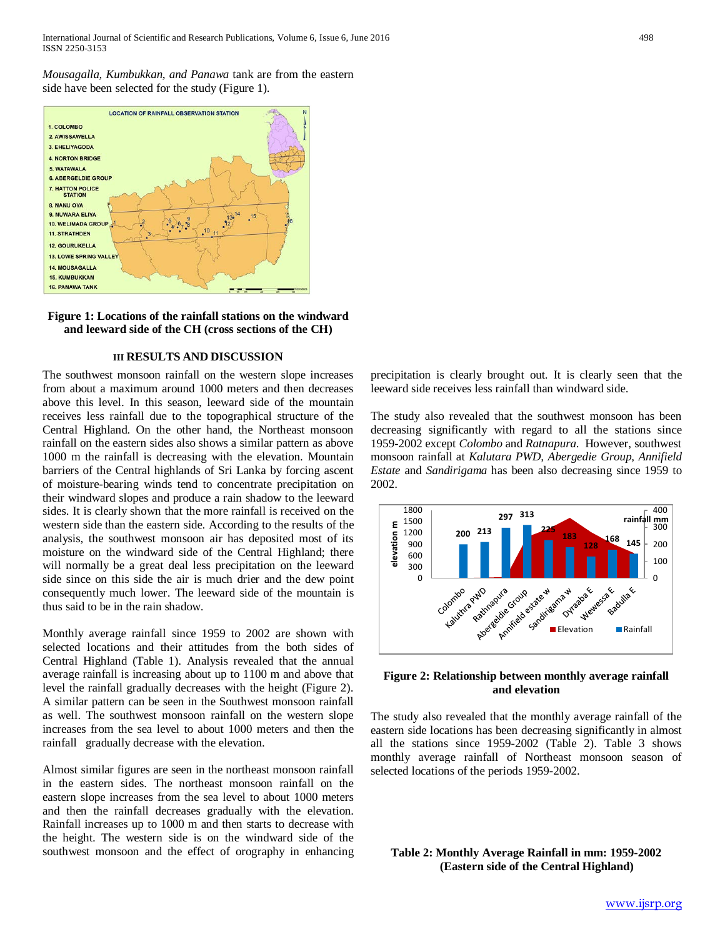*Mousagalla, Kumbukkan, and Panawa* tank are from the eastern side have been selected for the study (Figure 1).





#### **III RESULTS AND DISCUSSION**

The southwest monsoon rainfall on the western slope increases from about a maximum around 1000 meters and then decreases above this level. In this season, leeward side of the mountain receives less rainfall due to the topographical structure of the Central Highland. On the other hand, the Northeast monsoon rainfall on the eastern sides also shows a similar pattern as above 1000 m the rainfall is decreasing with the elevation. Mountain barriers of the Central highlands of Sri Lanka by forcing ascent of moisture-bearing winds tend to concentrate precipitation on their windward slopes and produce a rain shadow to the leeward sides. It is clearly shown that the more rainfall is received on the western side than the eastern side. According to the results of the analysis, the southwest monsoon air has deposited most of its moisture on the windward side of the Central Highland; there will normally be a great deal less precipitation on the leeward side since on this side the air is much drier and the dew point consequently much lower. The leeward side of the mountain is thus said to be in the rain shadow.

Monthly average rainfall since 1959 to 2002 are shown with selected locations and their attitudes from the both sides of Central Highland (Table 1). Analysis revealed that the annual average rainfall is increasing about up to 1100 m and above that level the rainfall gradually decreases with the height (Figure 2). A similar pattern can be seen in the Southwest monsoon rainfall as well. The southwest monsoon rainfall on the western slope increases from the sea level to about 1000 meters and then the rainfall gradually decrease with the elevation.

Almost similar figures are seen in the northeast monsoon rainfall in the eastern sides. The northeast monsoon rainfall on the eastern slope increases from the sea level to about 1000 meters and then the rainfall decreases gradually with the elevation. Rainfall increases up to 1000 m and then starts to decrease with the height. The western side is on the windward side of the southwest monsoon and the effect of orography in enhancing precipitation is clearly brought out. It is clearly seen that the leeward side receives less rainfall than windward side.

The study also revealed that the southwest monsoon has been decreasing significantly with regard to all the stations since 1959-2002 except *Colombo* and *Ratnapura*. However, southwest monsoon rainfall at *Kalutara PWD, Abergedie Group, Annifield Estate* and *Sandirigama* has been also decreasing since 1959 to 2002.



**Figure 2: Relationship between monthly average rainfall and elevation**

The study also revealed that the monthly average rainfall of the eastern side locations has been decreasing significantly in almost all the stations since 1959-2002 (Table 2). Table 3 shows monthly average rainfall of Northeast monsoon season of selected locations of the periods 1959-2002.

**Table 2: Monthly Average Rainfall in mm: 1959-2002 (Eastern side of the Central Highland)**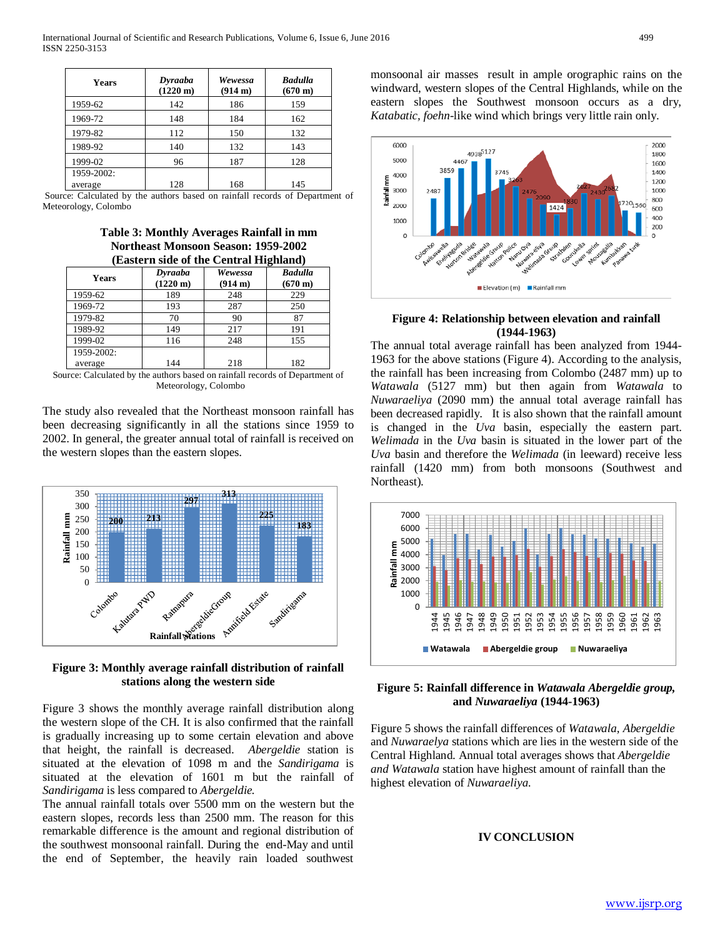| Years      | Dyraaba<br>$(1220 \text{ m})$ | Wewessa<br>(914 m) | <b>Badulla</b><br>$(670 \text{ m})$ |
|------------|-------------------------------|--------------------|-------------------------------------|
| 1959-62    | 142                           | 186                | 159                                 |
| 1969-72    | 148                           | 184                | 162                                 |
| 1979-82    | 112                           | 150                | 132                                 |
| 1989-92    | 140                           | 132                | 143                                 |
| 1999-02    | 96                            | 187                | 128                                 |
| 1959-2002: |                               |                    |                                     |
| average    | 128                           | 168                | 145                                 |

Source: Calculated by the authors based on rainfall records of Department of Meteorology, Colombo

**Table 3: Monthly Averages Rainfall in mm Northeast Monsoon Season: 1959-2002 (Eastern side of the Central Highland)**

| <b>Eugener State of the Centrum Information</b> |                               |                    |                                     |  |  |
|-------------------------------------------------|-------------------------------|--------------------|-------------------------------------|--|--|
| <b>Years</b>                                    | Dyraaba<br>$(1220 \text{ m})$ | Wewessa<br>(914 m) | <b>Badulla</b><br>$(670 \text{ m})$ |  |  |
| 1959-62                                         | 189                           | 248                | 229                                 |  |  |
| 1969-72                                         | 193                           | 287                | 250                                 |  |  |
| 1979-82                                         | 70                            | 90                 | 87                                  |  |  |
| 1989-92                                         | 149                           | 217                | 191                                 |  |  |
| 1999-02                                         | 116                           | 248                | 155                                 |  |  |
| 1959-2002:                                      |                               |                    |                                     |  |  |
| average                                         | 144                           | 218                | 182                                 |  |  |

Source: Calculated by the authors based on rainfall records of Department of Meteorology, Colombo

The study also revealed that the Northeast monsoon rainfall has been decreasing significantly in all the stations since 1959 to 2002. In general, the greater annual total of rainfall is received on the western slopes than the eastern slopes.



**Figure 3: Monthly average rainfall distribution of rainfall stations along the western side**

Figure 3 shows the monthly average rainfall distribution along the western slope of the CH. It is also confirmed that the rainfall is gradually increasing up to some certain elevation and above that height, the rainfall is decreased. *Abergeldie* station is situated at the elevation of 1098 m and the *Sandirigama* is situated at the elevation of 1601 m but the rainfall of *Sandirigama* is less compared to *Abergeldie.*

The annual rainfall totals over 5500 mm on the western but the eastern slopes, records less than 2500 mm. The reason for this remarkable difference is the amount and regional distribution of the southwest monsoonal rainfall. During the end-May and until the end of September, the heavily rain loaded southwest

monsoonal air masses result in ample orographic rains on the windward, western slopes of the Central Highlands, while on the eastern slopes the Southwest monsoon occurs as a dry, *Katabatic, foehn*-like wind which brings very little rain only.



## **Figure 4: Relationship between elevation and rainfall (1944-1963)**

The annual total average rainfall has been analyzed from 1944- 1963 for the above stations (Figure 4). According to the analysis, the rainfall has been increasing from Colombo (2487 mm) up to *Watawala* (5127 mm) but then again from *Watawala* to *Nuwaraeliya* (2090 mm) the annual total average rainfall has been decreased rapidly. It is also shown that the rainfall amount is changed in the *Uva* basin, especially the eastern part. *Welimada* in the *Uva* basin is situated in the lower part of the *Uva* basin and therefore the *Welimada* (in leeward) receive less rainfall (1420 mm) from both monsoons (Southwest and Northeast).



**Figure 5: Rainfall difference in** *Watawala Abergeldie group,* **and** *Nuwaraeliya* **(1944-1963)**

Figure 5 shows the rainfall differences of *Watawala, Abergeldie* and *Nuwaraelya* stations which are lies in the western side of the Central Highland. Annual total averages shows that *Abergeldie and Watawala* station have highest amount of rainfall than the highest elevation of *Nuwaraeliya.*

# **IV CONCLUSION**